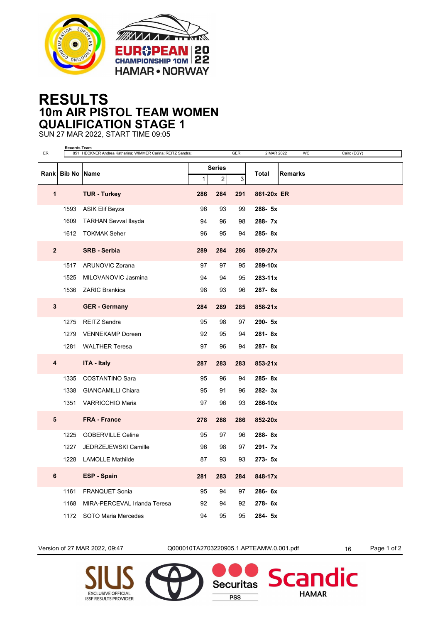



## **RESULTS 10m AIR PISTOL TEAM WOMEN QUALIFICATION STAGE 1**

SUN 27 MAR 2022, START TIME 09:05

| ER             | Records Team     | 851 HECKNER Andrea Katharina; WIMMER Carina; REITZ Sandra; |              |                                 | GER | 2 MAR 2022<br>WC<br>Cairo (EGY) |  |
|----------------|------------------|------------------------------------------------------------|--------------|---------------------------------|-----|---------------------------------|--|
|                |                  |                                                            |              |                                 |     |                                 |  |
|                | Rank Bib No Name |                                                            | $\mathbf{1}$ | <b>Series</b><br>$\overline{c}$ | 3   | <b>Remarks</b><br>Total         |  |
| $\mathbf{1}$   |                  | <b>TUR - Turkey</b>                                        | 286          | 284                             | 291 | 861-20x ER                      |  |
|                | 1593             | ASIK Elif Beyza                                            | 96           | 93                              | 99  | 288-5x                          |  |
|                | 1609             | <b>TARHAN Sevval llayda</b>                                | 94           | 96                              | 98  | 288-7x                          |  |
|                |                  | 1612 TOKMAK Seher                                          | 96           | 95                              | 94  | 285-8x                          |  |
| $\overline{2}$ |                  | <b>SRB - Serbia</b>                                        | 289          | 284                             | 286 | 859-27x                         |  |
|                | 1517             | ARUNOVIC Zorana                                            | 97           | 97                              | 95  | 289-10x                         |  |
|                | 1525             | MILOVANOVIC Jasmina                                        | 94           | 94                              | 95  | 283-11x                         |  |
|                |                  | 1536 ZARIC Brankica                                        | 98           | 93                              | 96  | 287- 6x                         |  |
| $\mathbf{3}$   |                  | <b>GER</b> - Germany                                       | 284          | 289                             | 285 | 858-21x                         |  |
|                | 1275             | <b>REITZ Sandra</b>                                        | 95           | 98                              | 97  | 290- 5x                         |  |
|                | 1279             | <b>VENNEKAMP Doreen</b>                                    | 92           | 95                              | 94  | 281-8x                          |  |
|                | 1281             | <b>WALTHER Teresa</b>                                      | 97           | 96                              | 94  | 287-8x                          |  |
| 4              |                  | <b>ITA - Italy</b>                                         | 287          | 283                             | 283 | 853-21x                         |  |
|                | 1335             | <b>COSTANTINO Sara</b>                                     | 95           | 96                              | 94  | 285-8x                          |  |
|                |                  | 1338 GIANCAMILLI Chiara                                    | 95           | 91                              | 96  | 282-3x                          |  |
|                | 1351             | VARRICCHIO Maria                                           | 97           | 96                              | 93  | 286-10x                         |  |
| 5              |                  | <b>FRA - France</b>                                        | 278          | 288                             | 286 | 852-20x                         |  |
|                | 1225             | <b>GOBERVILLE Celine</b>                                   | 95           | 97                              | 96  | 288-8x                          |  |
|                | 1227             | JEDRZEJEWSKI Camille                                       | 96           | 98                              | 97  | 291-7x                          |  |
|                | 1228             | <b>LAMOLLE Mathilde</b>                                    | 87           | 93                              | 93  | 273- 5x                         |  |
| $\bf 6$        |                  | <b>ESP - Spain</b>                                         | 281          | 283                             | 284 | 848-17x                         |  |
|                | 1161             | <b>FRANQUET Sonia</b>                                      | 95           | 94                              | 97  | 286-6x                          |  |
|                | 1168             | MIRA-PERCEVAL Irlanda Teresa                               | 92           | 94                              | 92  | 278-6x                          |  |
|                |                  | 1172 SOTO Maria Mercedes                                   | 94           | 95                              | 95  | 284- 5x                         |  |

Version of 27 MAR 2022, 09:47 Q000010TA2703220905.1.APTEAMW.0.001.pdf 16 Page 1 of 2

**Securitas** 

**PSS** 

dic

**Scan** 

**HAMAR**